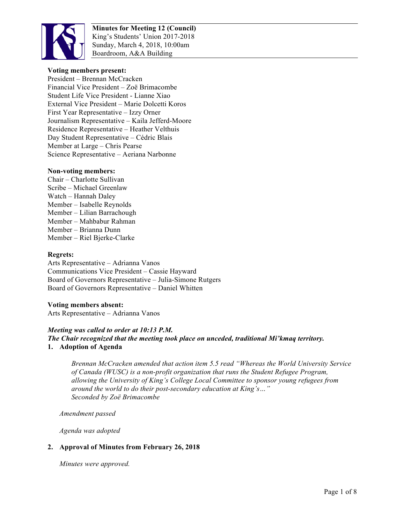

**Minutes for Meeting 12 (Council)** King's Students' Union 2017-2018 Sunday, March 4, 2018, 10:00am Boardroom, A&A Building

#### **Voting members present:**

President – Brennan McCracken Financial Vice President – Zoë Brimacombe Student Life Vice President - Lianne Xiao External Vice President – Marie Dolcetti Koros First Year Representative – Izzy Orner Journalism Representative – Kaila Jefferd-Moore Residence Representative – Heather Velthuis Day Student Representative – Cédric Blais Member at Large – Chris Pearse Science Representative – Aeriana Narbonne

#### **Non-voting members:**

Chair – Charlotte Sullivan Scribe – Michael Greenlaw Watch – Hannah Daley Member – Isabelle Reynolds Member – Lilian Barrachough Member – Mahbabur Rahman Member – Brianna Dunn Member – Riel Bjerke-Clarke

#### **Regrets:**

Arts Representative – Adrianna Vanos Communications Vice President – Cassie Hayward Board of Governors Representative – Julia-Simone Rutgers Board of Governors Representative – Daniel Whitten

#### **Voting members absent:**

Arts Representative – Adrianna Vanos

#### *Meeting was called to order at 10:13 P.M.*

#### *The Chair recognized that the meeting took place on unceded, traditional Mi'kmaq territory.* **1. Adoption of Agenda**

*Brennan McCracken amended that action item 5.5 read "Whereas the World University Service of Canada (WUSC) is a non-profit organization that runs the Student Refugee Program, allowing the University of King's College Local Committee to sponsor young refugees from around the world to do their post-secondary education at King's…" Seconded by Zoë Brimacombe*

*Amendment passed*

*Agenda was adopted*

#### **2. Approval of Minutes from February 26, 2018**

*Minutes were approved.*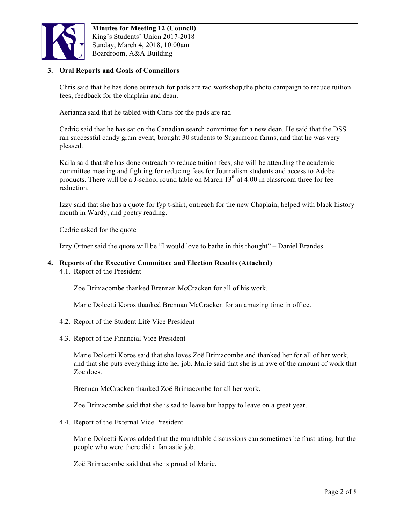

### **3. Oral Reports and Goals of Councillors**

Chris said that he has done outreach for pads are rad workshop,the photo campaign to reduce tuition fees, feedback for the chaplain and dean.

Aerianna said that he tabled with Chris for the pads are rad

Cedric said that he has sat on the Canadian search committee for a new dean. He said that the DSS ran successful candy gram event, brought 30 students to Sugarmoon farms, and that he was very pleased.

Kaila said that she has done outreach to reduce tuition fees, she will be attending the academic committee meeting and fighting for reducing fees for Journalism students and access to Adobe products. There will be a J-school round table on March  $13<sup>th</sup>$  at 4:00 in classroom three for fee reduction.

Izzy said that she has a quote for fyp t-shirt, outreach for the new Chaplain, helped with black history month in Wardy, and poetry reading.

Cedric asked for the quote

Izzy Ortner said the quote will be "I would love to bathe in this thought" – Daniel Brandes

#### **4. Reports of the Executive Committee and Election Results (Attached)**

4.1. Report of the President

Zoë Brimacombe thanked Brennan McCracken for all of his work.

Marie Dolcetti Koros thanked Brennan McCracken for an amazing time in office.

- 4.2. Report of the Student Life Vice President
- 4.3. Report of the Financial Vice President

Marie Dolcetti Koros said that she loves Zoë Brimacombe and thanked her for all of her work, and that she puts everything into her job. Marie said that she is in awe of the amount of work that Zoë does.

Brennan McCracken thanked Zoë Brimacombe for all her work.

Zoë Brimacombe said that she is sad to leave but happy to leave on a great year.

4.4. Report of the External Vice President

Marie Dolcetti Koros added that the roundtable discussions can sometimes be frustrating, but the people who were there did a fantastic job.

Zoë Brimacombe said that she is proud of Marie.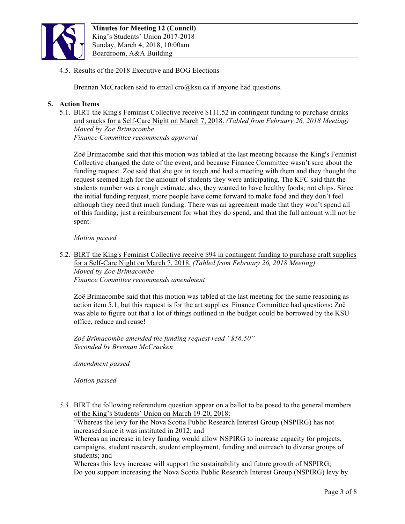

4.5. Results of the 2018 Executive and BOG Elections

Brennan McCracken said to email cro@ksu.ca if anyone had questions.

## **5. Action Items**

5.1. BIRT the King's Feminist Collective receive \$111.52 in contingent funding to purchase drinks and snacks for a Self-Care Night on March 7, 2018. *(Tabled from February 26, 2018 Meeting) Moved by Zoe Brimacombe Finance Committee recommends approval* 

Zoë Brimacombe said that this motion was tabled at the last meeting because the King's Feminist Collective changed the date of the event, and because Finance Committee wasn't sure about the funding request. Zoë said that she got in touch and had a meeting with them and they thought the request seemed high for the amount of students they were anticipating. The KFC said that the students number was a rough estimate, also, they wanted to have healthy foods; not chips. Since the initial funding request, more people have come forward to make food and they don't feel although they need that much funding. There was an agreement made that they won't spend all of this funding, just a reimbursement for what they do spend, and that the full amount will not be spent.

*Motion passed.* 

5.2. BIRT the King's Feminist Collective receive \$94 in contingent funding to purchase craft supplies for a Self-Care Night on March 7, 2018. *(Tabled from February 26, 2018 Meeting) Moved by Zoe Brimacombe Finance Committee recommends amendment*

Zoë Brimacombe said that this motion was tabled at the last meeting for the same reasoning as action item 5.1, but this request is for the art supplies. Finance Committee had questions; Zoë was able to figure out that a lot of things outlined in the budget could be borrowed by the KSU office, reduce and reuse!

*Zoë Brimacombe amended the funding request read "\$56.50" Seconded by Brennan McCracken*

*Amendment passed*

*Motion passed*

*5.3.* BIRT the following referendum question appear on a ballot to be posed to the general members of the King's Students' Union on March 19-20, 2018:

"Whereas the levy for the Nova Scotia Public Research Interest Group (NSPIRG) has not increased since it was instituted in 2012; and

Whereas an increase in levy funding would allow NSPIRG to increase capacity for projects, campaigns, student research, student employment, funding and outreach to diverse groups of students; and

Whereas this levy increase will support the sustainability and future growth of NSPIRG; Do you support increasing the Nova Scotia Public Research Interest Group (NSPIRG) levy by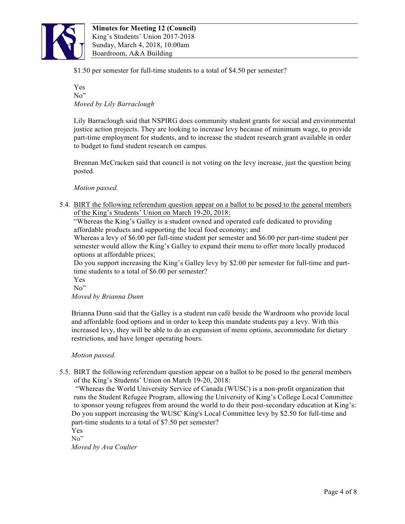

\$1.50 per semester for full-time students to a total of \$4.50 per semester?

Yes No" *Moved by Lily Barraclough*

Lily Barraclough said that NSPIRG does community student grants for social and environmental justice action projects. They are looking to increase levy because of minimum wage, to provide part-time employment for students, and to increase the student research grant available in order to budget to fund student research on campus.

Brennan McCracken said that council is not voting on the levy increase, just the question being posted.

*Motion passed.*

5.4. BIRT the following referendum question appear on a ballot to be posed to the general members of the King's Students' Union on March 19-20, 2018:

"Whereas the King's Galley is a student owned and operated cafe dedicated to providing affordable products and supporting the local food economy; and

Whereas a levy of \$6.00 per full-time student per semester and \$6.00 per part-time student per semester would allow the King's Galley to expand their menu to offer more locally produced options at affordable prices;

Do you support increasing the King's Galley levy by \$2.00 per semester for full-time and parttime students to a total of \$6.00 per semester?

Yes

No"

*Moved by Brianna Dunn*

Brianna Dunn said that the Galley is a student run café beside the Wardroom who provide local and affordable food options and in order to keep this mandate students pay a levy. With this increased levy, they will be able to do an expansion of menu options, accommodate for dietary restrictions, and have longer operating hours.

*Motion passed.*

5.5. BIRT the following referendum question appear on a ballot to be posed to the general members of the King's Students' Union on March 19-20, 2018:

"Whereas the World University Service of Canada (WUSC) is a non-profit organization that runs the Student Refugee Program, allowing the University of King's College Local Committee to sponsor young refugees from around the world to do their post-secondary education at King's: Do you support increasing the WUSC King's Local Committee levy by \$2.50 for full-time and part-time students to a total of \$7.50 per semester?

Yes

No"

*Moved by Ava Coulter*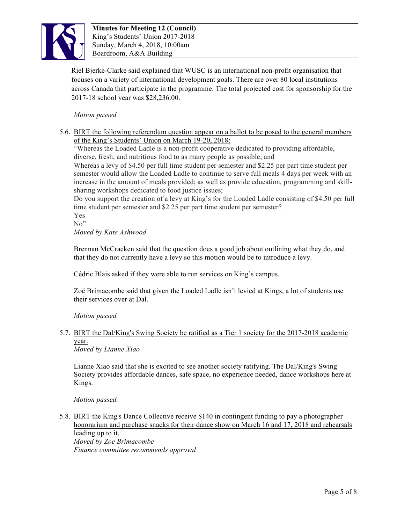

Riel Bjerke-Clarke said explained that WUSC is an international non-profit organisation that focuses on a variety of international development goals. There are over 80 local institutions across Canada that participate in the programme. The total projected cost for sponsorship for the 2017-18 school year was \$28,236.00.

*Motion passed.* 

5.6. BIRT the following referendum question appear on a ballot to be posed to the general members of the King's Students' Union on March 19-20, 2018:

"Whereas the Loaded Ladle is a non-profit cooperative dedicated to providing affordable, diverse, fresh, and nutritious food to as many people as possible; and

Whereas a levy of \$4.50 per full time student per semester and \$2.25 per part time student per semester would allow the Loaded Ladle to continue to serve full meals 4 days per week with an increase in the amount of meals provided; as well as provide education, programming and skillsharing workshops dedicated to food justice issues;

Do you support the creation of a levy at King's for the Loaded Ladle consisting of \$4.50 per full time student per semester and \$2.25 per part time student per semester?

Yes

No"

*Moved by Kate Ashwood* 

Brennan McCracken said that the question does a good job about outlining what they do, and that they do not currently have a levy so this motion would be to introduce a levy.

Cédric Blais asked if they were able to run services on King's campus.

Zoë Brimacombe said that given the Loaded Ladle isn't levied at Kings, a lot of students use their services over at Dal.

*Motion passed.*

# 5.7. BIRT the Dal/King's Swing Society be ratified as a Tier 1 society for the 2017-2018 academic year.

*Moved by Lianne Xiao*

Lianne Xiao said that she is excited to see another society ratifying. The Dal/King's Swing Society provides affordable dances, safe space, no experience needed, dance workshops here at Kings.

*Motion passed.*

5.8. BIRT the King's Dance Collective receive \$140 in contingent funding to pay a photographer honorarium and purchase snacks for their dance show on March 16 and 17, 2018 and rehearsals leading up to it. *Moved by Zoe Brimacombe*

*Finance committee recommends approval*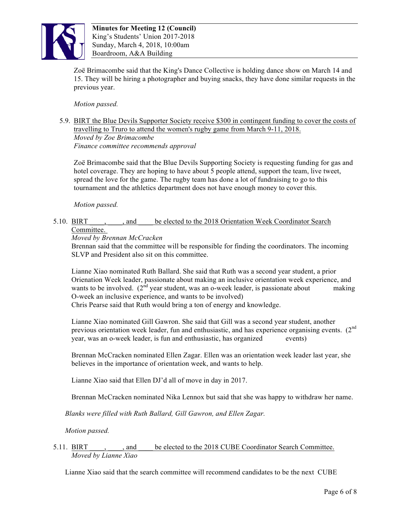

Zoë Brimacombe said that the King's Dance Collective is holding dance show on March 14 and 15. They will be hiring a photographer and buying snacks, they have done similar requests in the previous year.

*Motion passed.*

## 5.9. BIRT the Blue Devils Supporter Society receive \$300 in contingent funding to cover the costs of travelling to Truro to attend the women's rugby game from March 9-11, 2018. *Moved by Zoe Brimacombe Finance committee recommends approval*

Zoë Brimacombe said that the Blue Devils Supporting Society is requesting funding for gas and hotel coverage. They are hoping to have about 5 people attend, support the team, live tweet, spread the love for the game. The rugby team has done a lot of fundraising to go to this tournament and the athletics department does not have enough money to cover this.

*Motion passed.* 

#### 5.10. BIRT \_\_\_\_, and \_\_\_\_ be elected to the 2018 Orientation Week Coordinator Search Committee.

## *Moved by Brennan McCracken*

Brennan said that the committee will be responsible for finding the coordinators. The incoming SLVP and President also sit on this committee.

Lianne Xiao nominated Ruth Ballard. She said that Ruth was a second year student, a prior Orienation Week leader, passionate about making an inclusive orientation week experience, and wants to be involved.  $(2^{nd}$  year student, was an o-week leader, is passionate about making O-week an inclusive experience, and wants to be involved) Chris Pearse said that Ruth would bring a ton of energy and knowledge.

Lianne Xiao nominated Gill Gawron. She said that Gill was a second year student, another previous orientation week leader, fun and enthusiastic, and has experience organising events.  $(2^{nd}$ year, was an o-week leader, is fun and enthusiastic, has organized events)

Brennan McCracken nominated Ellen Zagar. Ellen was an orientation week leader last year, she believes in the importance of orientation week, and wants to help.

Lianne Xiao said that Ellen DJ'd all of move in day in 2017.

Brennan McCracken nominated Nika Lennox but said that she was happy to withdraw her name.

*Blanks were filled with Ruth Ballard, Gill Gawron, and Ellen Zagar.*

*Motion passed.*

#### 5.11. BIRT  $\ldots$ , and be elected to the 2018 CUBE Coordinator Search Committee. *Moved by Lianne Xiao*

Lianne Xiao said that the search committee will recommend candidates to be the next CUBE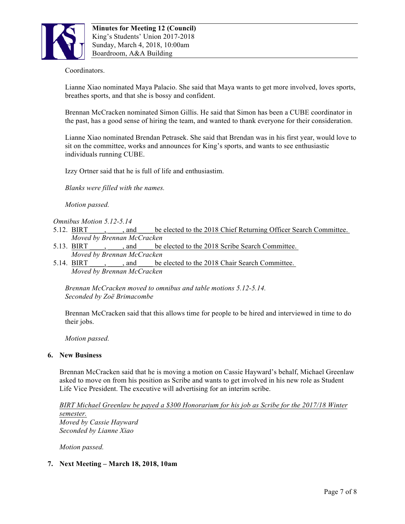

## Coordinators.

Lianne Xiao nominated Maya Palacio. She said that Maya wants to get more involved, loves sports, breathes sports, and that she is bossy and confident.

Brennan McCracken nominated Simon Gillis. He said that Simon has been a CUBE coordinator in the past, has a good sense of hiring the team, and wanted to thank everyone for their consideration.

Lianne Xiao nominated Brendan Petrasek. She said that Brendan was in his first year, would love to sit on the committee, works and announces for King's sports, and wants to see enthusiastic individuals running CUBE.

Izzy Ortner said that he is full of life and enthusiastim.

*Blanks were filled with the names.* 

*Motion passed.* 

#### *Omnibus Motion 5.12-5.14*

- 5.12. BIRT  $\ldots$ , and be elected to the 2018 Chief Returning Officer Search Committee. *Moved by Brennan McCracken*
- 5.13. BIRT , and be elected to the 2018 Scribe Search Committee. *Moved by Brennan McCracken*
- 5.14. BIRT \_\_\_\_, and \_\_\_\_ be elected to the 2018 Chair Search Committee. *Moved by Brennan McCracken*

*Brennan McCracken moved to omnibus and table motions 5.12-5.14. Seconded by Zoë Brimacombe*

Brennan McCracken said that this allows time for people to be hired and interviewed in time to do their jobs.

*Motion passed.* 

#### **6. New Business**

Brennan McCracken said that he is moving a motion on Cassie Hayward's behalf, Michael Greenlaw asked to move on from his position as Scribe and wants to get involved in his new role as Student Life Vice President. The executive will advertising for an interim scribe.

*BIRT Michael Greenlaw be payed a \$300 Honorarium for his job as Scribe for the 2017/18 Winter semester. Moved by Cassie Hayward Seconded by Lianne Xiao*

*Motion passed.* 

#### **7. Next Meeting – March 18, 2018, 10am**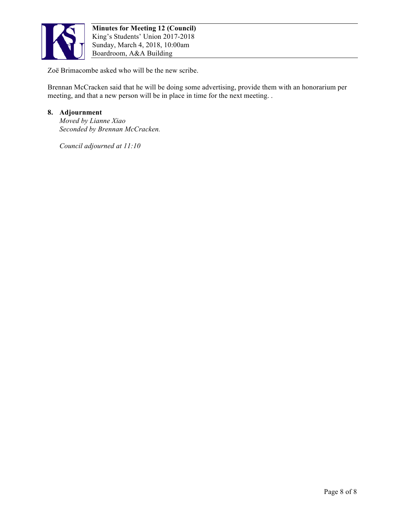

Zoë Brimacombe asked who will be the new scribe.

Brennan McCracken said that he will be doing some advertising, provide them with an honorarium per meeting, and that a new person will be in place in time for the next meeting. .

### **8. Adjournment**

*Moved by Lianne Xiao Seconded by Brennan McCracken.* 

*Council adjourned at 11:10*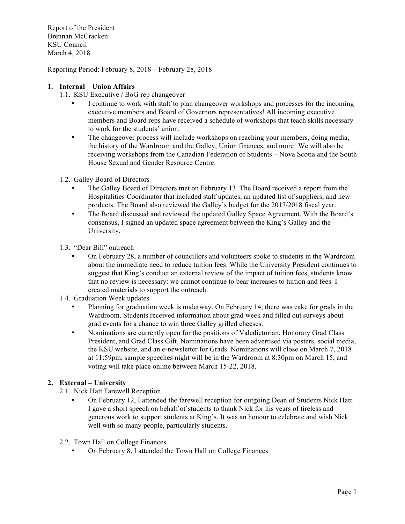Report of the President Brennan McCracken KSU Council March 4, 2018

Reporting Period: February 8, 2018 – February 28, 2018

### **1. Internal – Union Affairs**

- 1.1. KSU Executive / BoG rep changeover
	- I continue to work with staff to plan changeover workshops and processes for the incoming executive members and Board of Governors representatives! All incoming executive members and Board reps have received a schedule of workshops that teach skills necessary to work for the students' union.
	- The changeover process will include workshops on reaching your members, doing media, the history of the Wardroom and the Galley, Union finances, and more! We will also be receiving workshops from the Canadian Federation of Students – Nova Scotia and the South House Sexual and Gender Resource Centre.
- 1.2. Galley Board of Directors
	- The Galley Board of Directors met on February 13. The Board received a report from the Hospitalities Coordinator that included staff updates, an updated list of suppliers, and new products. The Board also reviewed the Galley's budget for the 2017/2018 fiscal year.
	- The Board discussed and reviewed the updated Galley Space Agreement. With the Board's consensus, I signed an updated space agreement between the King's Galley and the University.
- 1.3. "Dear Bill" outreach
	- On February 28, a number of councillors and volunteers spoke to students in the Wardroom about the immediate need to reduce tuition fees. While the University President continues to suggest that King's conduct an external review of the impact of tuition fees, students know that no review is necessary: we cannot continue to bear increases to tuition and fees. I created materials to support the outreach.
- 1.4. Graduation Week updates
	- Planning for graduation week is underway. On February 14, there was cake for grads in the Wardroom. Students received information about grad week and filled out surveys about grad events for a chance to win three Galley grilled cheeses.
	- Nominations are currently open for the positions of Valedictorian, Honorary Grad Class President, and Grad Class Gift. Nominations have been advertised via posters, social media, the KSU website, and an e-newsletter for Grads. Nominations will close on March 7, 2018 at 11:59pm, sample speeches night will be in the Wardroom at 8:30pm on March 15, and voting will take place online between March 15-22, 2018.

## **2. External – University**

- 2.1. Nick Hatt Farewell Reception
	- On February 12, I attended the farewell reception for outgoing Dean of Students Nick Hatt. I gave a short speech on behalf of students to thank Nick for his years of tireless and generous work to support students at King's. It was an honour to celebrate and wish Nick well with so many people, particularly students.
- 2.2. Town Hall on College Finances
	- On February 8, I attended the Town Hall on College Finances.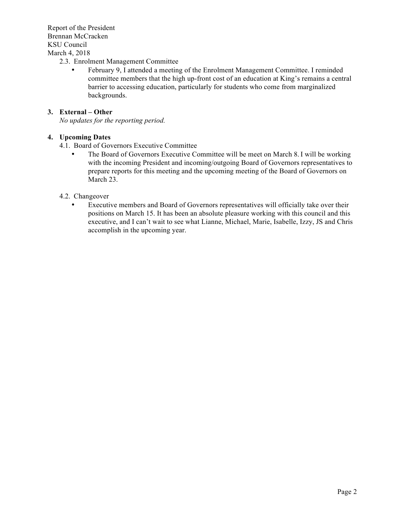Report of the President Brennan McCracken KSU Council March 4, 2018

- 2.3. Enrolment Management Committee
	- February 9, I attended a meeting of the Enrolment Management Committee. I reminded committee members that the high up-front cost of an education at King's remains a central barrier to accessing education, particularly for students who come from marginalized backgrounds.

#### **3. External – Other**

*No updates for the reporting period.* 

## **4. Upcoming Dates**

- 4.1. Board of Governors Executive Committee
	- The Board of Governors Executive Committee will be meet on March 8. I will be working with the incoming President and incoming/outgoing Board of Governors representatives to prepare reports for this meeting and the upcoming meeting of the Board of Governors on March 23.

#### 4.2. Changeover

• Executive members and Board of Governors representatives will officially take over their positions on March 15. It has been an absolute pleasure working with this council and this executive, and I can't wait to see what Lianne, Michael, Marie, Isabelle, Izzy, JS and Chris accomplish in the upcoming year.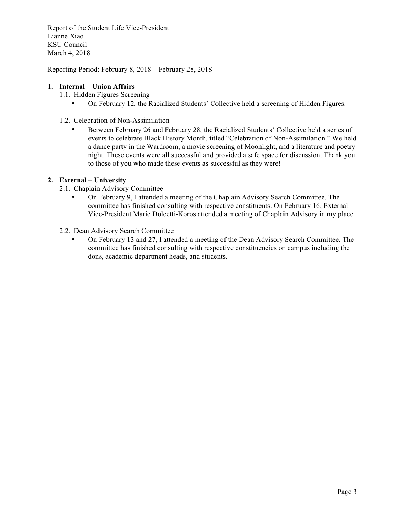Report of the Student Life Vice-President Lianne Xiao KSU Council March 4, 2018

Reporting Period: February 8, 2018 – February 28, 2018

### **1. Internal – Union Affairs**

- 1.1. Hidden Figures Screening
	- On February 12, the Racialized Students' Collective held a screening of Hidden Figures.
- 1.2. Celebration of Non-Assimilation
	- Between February 26 and February 28, the Racialized Students' Collective held a series of events to celebrate Black History Month, titled "Celebration of Non-Assimilation." We held a dance party in the Wardroom, a movie screening of Moonlight, and a literature and poetry night. These events were all successful and provided a safe space for discussion. Thank you to those of you who made these events as successful as they were!

## **2. External – University**

- 2.1. Chaplain Advisory Committee
	- On February 9, I attended a meeting of the Chaplain Advisory Search Committee. The committee has finished consulting with respective constituents. On February 16, External Vice-President Marie Dolcetti-Koros attended a meeting of Chaplain Advisory in my place.
- 2.2. Dean Advisory Search Committee
	- On February 13 and 27, I attended a meeting of the Dean Advisory Search Committee. The committee has finished consulting with respective constituencies on campus including the dons, academic department heads, and students.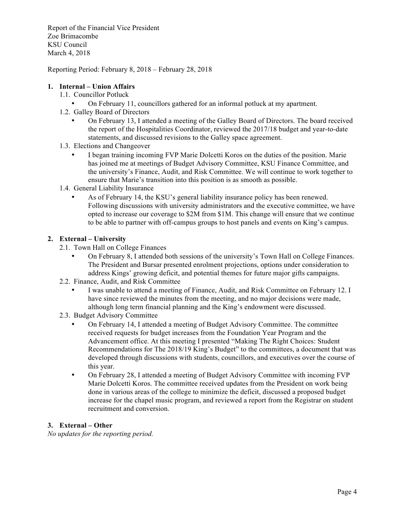Report of the Financial Vice President Zoe Brimacombe KSU Council March 4, 2018

Reporting Period: February 8, 2018 – February 28, 2018

### **1. Internal – Union Affairs**

- 1.1. Councillor Potluck
	- On February 11, councillors gathered for an informal potluck at my apartment.
- 1.2. Galley Board of Directors
	- On February 13, I attended a meeting of the Galley Board of Directors. The board received the report of the Hospitalities Coordinator, reviewed the 2017/18 budget and year-to-date statements, and discussed revisions to the Galley space agreement.
- 1.3. Elections and Changeover
	- I began training incoming FVP Marie Dolcetti Koros on the duties of the position. Marie has joined me at meetings of Budget Advisory Committee, KSU Finance Committee, and the university's Finance, Audit, and Risk Committee. We will continue to work together to ensure that Marie's transition into this position is as smooth as possible.
- 1.4. General Liability Insurance
	- As of February 14, the KSU's general liability insurance policy has been renewed. Following discussions with university administrators and the executive committee, we have opted to increase our coverage to \$2M from \$1M. This change will ensure that we continue to be able to partner with off-campus groups to host panels and events on King's campus.

## **2. External – University**

- 2.1. Town Hall on College Finances
	- On February 8, I attended both sessions of the university's Town Hall on College Finances. The President and Bursar presented enrolment projections, options under consideration to address Kings' growing deficit, and potential themes for future major gifts campaigns.
- 2.2. Finance, Audit, and Risk Committee
	- I was unable to attend a meeting of Finance, Audit, and Risk Committee on February 12. I have since reviewed the minutes from the meeting, and no major decisions were made, although long term financial planning and the King's endowment were discussed.
- 2.3. Budget Advisory Committee
	- On February 14, I attended a meeting of Budget Advisory Committee. The committee received requests for budget increases from the Foundation Year Program and the Advancement office. At this meeting I presented "Making The Right Choices: Student Recommendations for The 2018/19 King's Budget" to the committees, a document that was developed through discussions with students, councillors, and executives over the course of this year.
	- On February 28, I attended a meeting of Budget Advisory Committee with incoming FVP Marie Dolcetti Koros. The committee received updates from the President on work being done in various areas of the college to minimize the deficit, discussed a proposed budget increase for the chapel music program, and reviewed a report from the Registrar on student recruitment and conversion.

## **3. External – Other**

*No updates for the reporting period.*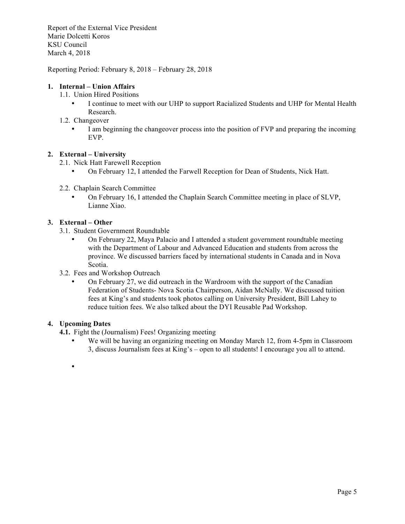Report of the External Vice President Marie Dolcetti Koros KSU Council March 4, 2018

Reporting Period: February 8, 2018 – February 28, 2018

### **1. Internal – Union Affairs**

- 1.1. Union Hired Positions
	- I continue to meet with our UHP to support Racialized Students and UHP for Mental Health Research.
- 1.2. Changeover
	- I am beginning the changeover process into the position of FVP and preparing the incoming EVP.

## **2. External – University**

2.1. Nick Hatt Farewell Reception

- On February 12, I attended the Farwell Reception for Dean of Students, Nick Hatt.
- 2.2. Chaplain Search Committee
	- On February 16, I attended the Chaplain Search Committee meeting in place of SLVP, Lianne Xiao.

## **3. External – Other**

- 3.1. Student Government Roundtable
	- On February 22, Maya Palacio and I attended a student government roundtable meeting with the Department of Labour and Advanced Education and students from across the province. We discussed barriers faced by international students in Canada and in Nova Scotia.
- 3.2. Fees and Workshop Outreach
	- On February 27, we did outreach in the Wardroom with the support of the Canadian Federation of Students- Nova Scotia Chairperson, Aidan McNally. We discussed tuition fees at King's and students took photos calling on University President, Bill Lahey to reduce tuition fees. We also talked about the DYI Reusable Pad Workshop.

#### **4. Upcoming Dates**

**4.1.** Fight the (Journalism) Fees! Organizing meeting

- We will be having an organizing meeting on Monday March 12, from 4-5pm in Classroom 3, discuss Journalism fees at King's – open to all students! I encourage you all to attend.
- •